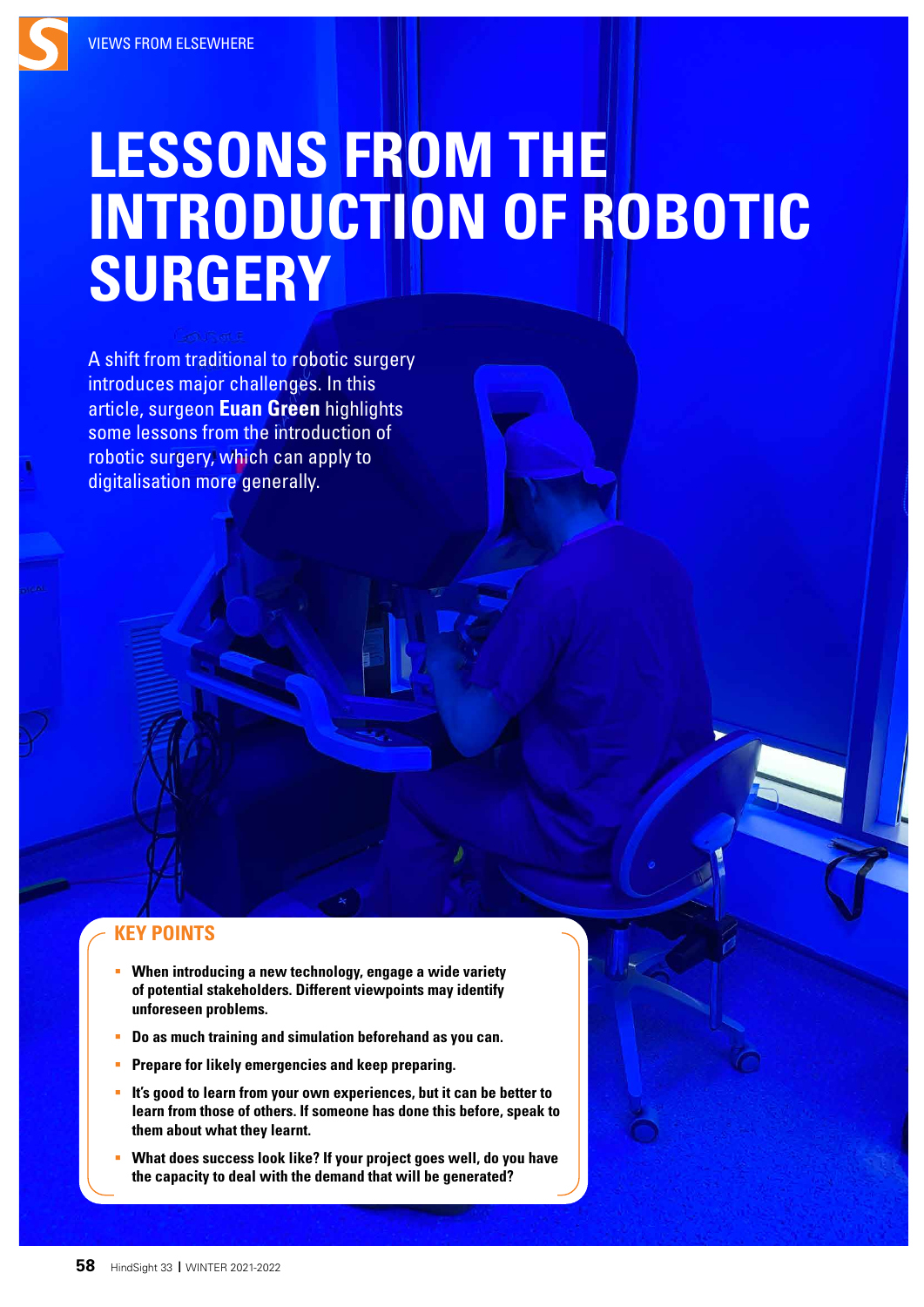# **LESSONS FROM THE INTRODUCTION OF ROBOTIC SURGERY**

A shift from traditional to robotic surgery introduces major challenges. In this article, surgeon **Euan Green** highlights some lessons from the introduction of robotic surgery, which can apply to digitalisation more generally.

## **KEY POINTS**

- **When introducing a new technology, engage a wide variety of potential stakeholders. Different viewpoints may identify unforeseen problems.**
- **Do as much training and simulation beforehand as you can.**
- **Prepare for likely emergencies and keep preparing.**
- **It's good to learn from your own experiences, but it can be better to learn from those of others. If someone has done this before, speak to them about what they learnt.**
- **What does success look like? If your project goes well, do you have the capacity to deal with the demand that will be generated?**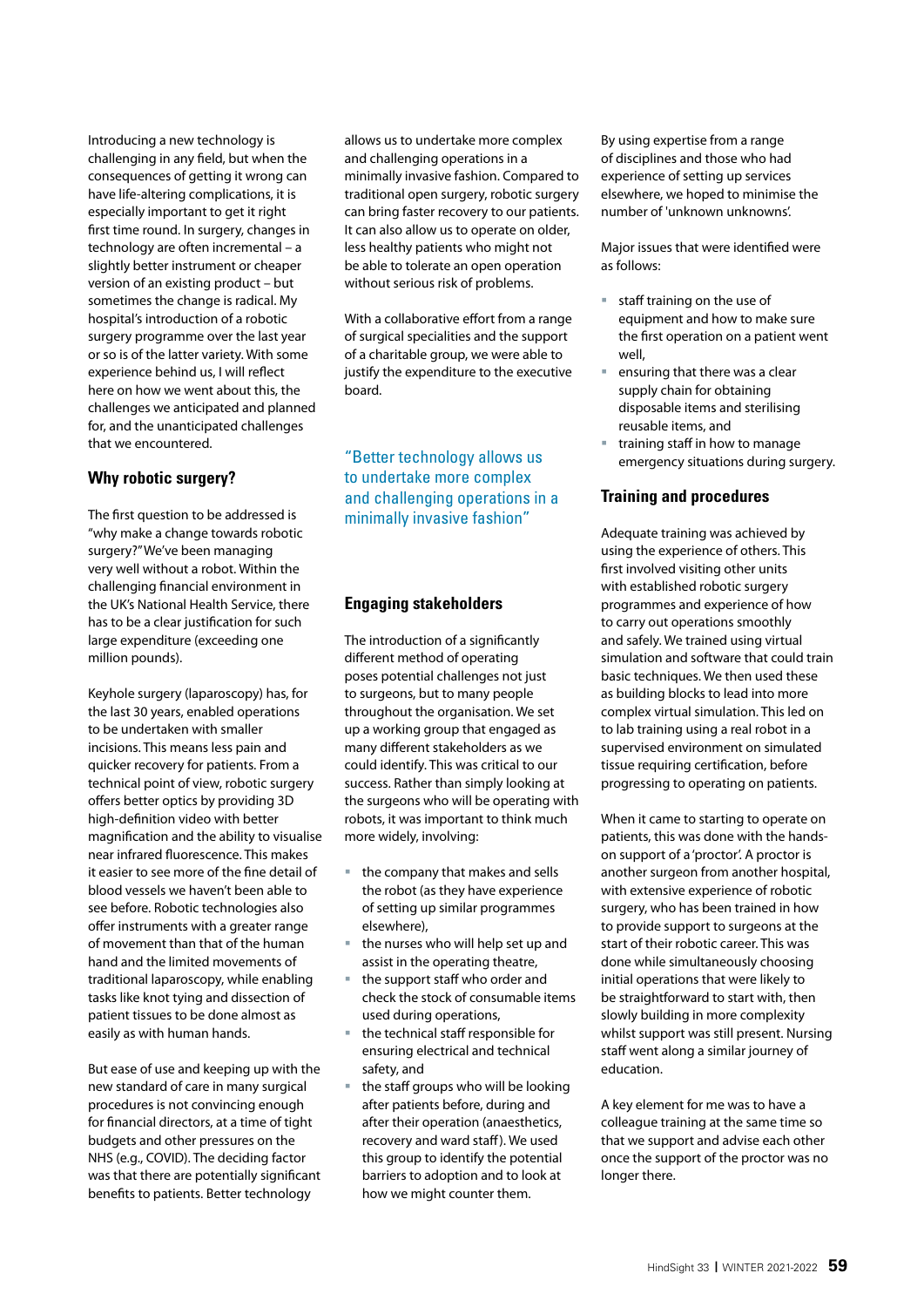Introducing a new technology is challenging in any field, but when the consequences of getting it wrong can have life-altering complications, it is especially important to get it right first time round. In surgery, changes in technology are often incremental – a slightly better instrument or cheaper version of an existing product – but sometimes the change is radical. My hospital's introduction of a robotic surgery programme over the last year or so is of the latter variety. With some experience behind us, I will reflect here on how we went about this, the challenges we anticipated and planned for, and the unanticipated challenges that we encountered.

### **Why robotic surgery?**

The first question to be addressed is "why make a change towards robotic surgery?" We've been managing very well without a robot. Within the challenging financial environment in the UK's National Health Service, there has to be a clear justification for such large expenditure (exceeding one million pounds).

Keyhole surgery (laparoscopy) has, for the last 30 years, enabled operations to be undertaken with smaller incisions. This means less pain and quicker recovery for patients. From a technical point of view, robotic surgery offers better optics by providing 3D high-definition video with better magnification and the ability to visualise near infrared fluorescence. This makes it easier to see more of the fine detail of blood vessels we haven't been able to see before. Robotic technologies also offer instruments with a greater range of movement than that of the human hand and the limited movements of traditional laparoscopy, while enabling tasks like knot tying and dissection of patient tissues to be done almost as easily as with human hands.

But ease of use and keeping up with the new standard of care in many surgical procedures is not convincing enough for financial directors, at a time of tight budgets and other pressures on the NHS (e.g., COVID). The deciding factor was that there are potentially significant benefits to patients. Better technology

allows us to undertake more complex and challenging operations in a minimally invasive fashion. Compared to traditional open surgery, robotic surgery can bring faster recovery to our patients. It can also allow us to operate on older, less healthy patients who might not be able to tolerate an open operation without serious risk of problems.

With a collaborative effort from a range of surgical specialities and the support of a charitable group, we were able to justify the expenditure to the executive board.

"Better technology allows us to undertake more complex and challenging operations in a minimally invasive fashion"

#### **Engaging stakeholders**

The introduction of a significantly different method of operating poses potential challenges not just to surgeons, but to many people throughout the organisation. We set up a working group that engaged as many different stakeholders as we could identify. This was critical to our success. Rather than simply looking at the surgeons who will be operating with robots, it was important to think much more widely, involving:

- the company that makes and sells the robot (as they have experience of setting up similar programmes elsewhere),
- the nurses who will help set up and assist in the operating theatre,
- the support staff who order and check the stock of consumable items used during operations,
- the technical staff responsible for ensuring electrical and technical safety, and
- the staff groups who will be looking after patients before, during and after their operation (anaesthetics, recovery and ward staff). We used this group to identify the potential barriers to adoption and to look at how we might counter them.

By using expertise from a range of disciplines and those who had experience of setting up services elsewhere, we hoped to minimise the number of 'unknown unknowns'.

Major issues that were identified were as follows:

- staff training on the use of equipment and how to make sure the first operation on a patient went well,
- ensuring that there was a clear supply chain for obtaining disposable items and sterilising reusable items, and
- training staff in how to manage emergency situations during surgery.

#### **Training and procedures**

Adequate training was achieved by using the experience of others. This first involved visiting other units with established robotic surgery programmes and experience of how to carry out operations smoothly and safely. We trained using virtual simulation and software that could train basic techniques. We then used these as building blocks to lead into more complex virtual simulation. This led on to lab training using a real robot in a supervised environment on simulated tissue requiring certification, before progressing to operating on patients.

When it came to starting to operate on patients, this was done with the handson support of a 'proctor'. A proctor is another surgeon from another hospital, with extensive experience of robotic surgery, who has been trained in how to provide support to surgeons at the start of their robotic career. This was done while simultaneously choosing initial operations that were likely to be straightforward to start with, then slowly building in more complexity whilst support was still present. Nursing staff went along a similar journey of education.

A key element for me was to have a colleague training at the same time so that we support and advise each other once the support of the proctor was no longer there.